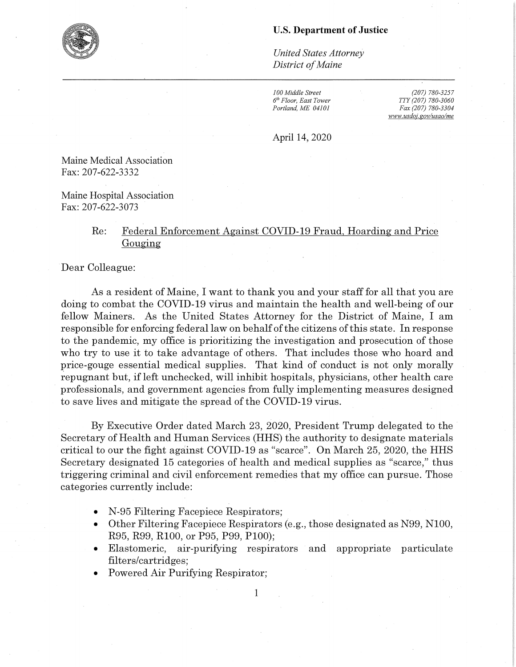## **U.S. Department of Justice**

*United States Attorney District of Maine* 

*100 Middle Street*   $6<sup>th</sup> Floor, East Tower$ *Portland, ME 04101* 

*(207) 780-3257 TTY (207) 780-3060 Fax (207) 780-3304 www.usdoi.gov/usao/me* 

April 14, 2020

Maine Medical Association Fax: 207-622-3332

Maine Hospital Association Fax: 207-622-3073

## Re: Federal Enforcement Against COVID-19 Fraud. Hoarding and Price Gouging

Dear Colleague:

As a resident of Maine, I want to thank you and your staff for all that you are doing to combat the COVID-19 virus and maintain the health and well-being of our fellow Mainers. As the United States Attorney for the District of Maine, I am responsible for enforcing federal law on behalf of the citizens of this state. In response to the pandemic, my office is prioritizing the investigation and prosecution of those who try to use it to take advantage of others. That includes those who hoard and price-gouge essential medical supplies. That kind of conduct is not only morally repugnant but, if left unchecked, will inhibit hospitals, physicians, other health care professionals, and government agencies from fully implementing measures designed to save lives and mitigate the spread of the COVID-19 virus.

By Executive Order dated March 23, 2020, President Trump delegated to the Secretary of Health and Human Services (HHS) the authority to designate materials critical to our the fight against COVID-19 as "scarce". On March 25, 2020, the HHS Secretary designated 15 categories of health and medical supplies as "scarce," thus triggering criminal and civil enforcement remedies that my office can pursue. Those categories currently include:

- N-95 Filtering Facepiece Respirators;
- Other Filtering Facepiece Respirators (e.g., those designated as N99, NlOO, R95, R99, RlOO, or P95, P99, PlOO);
- Elastomeric, air-purifying respirators and appropriate particulate filters/cartridges;
- Powered Air Purifying Respirator;

1